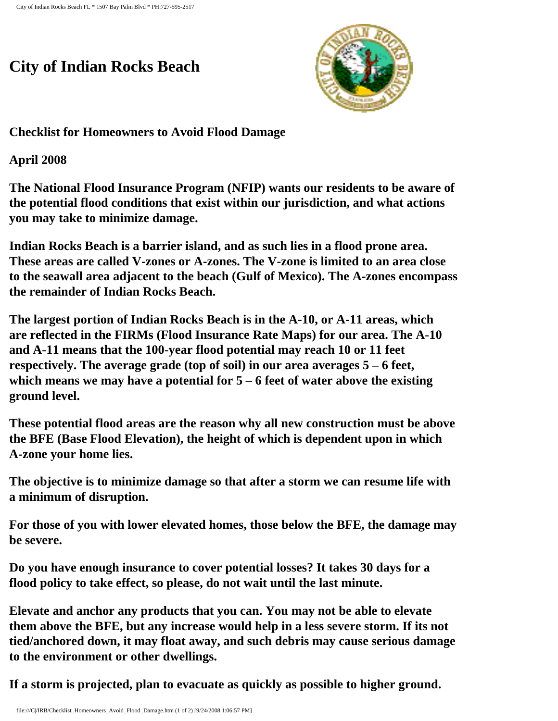## **City of Indian Rocks Beach**



**Checklist for Homeowners to Avoid Flood Damage**

**April 2008**

**The National Flood Insurance Program (NFIP) wants our residents to be aware of the potential flood conditions that exist within our jurisdiction, and what actions you may take to minimize damage.**

**Indian Rocks Beach is a barrier island, and as such lies in a flood prone area. These areas are called V-zones or A-zones. The V-zone is limited to an area close to the seawall area adjacent to the beach (Gulf of Mexico). The A-zones encompass the remainder of Indian Rocks Beach.** 

**The largest portion of Indian Rocks Beach is in the A-10, or A-11 areas, which are reflected in the FIRMs (Flood Insurance Rate Maps) for our area. The A-10 and A-11 means that the 100-year flood potential may reach 10 or 11 feet respectively. The average grade (top of soil) in our area averages 5 – 6 feet, which means we may have a potential for 5 – 6 feet of water above the existing ground level.**

**These potential flood areas are the reason why all new construction must be above the BFE (Base Flood Elevation), the height of which is dependent upon in which A-zone your home lies.** 

**The objective is to minimize damage so that after a storm we can resume life with a minimum of disruption.**

**For those of you with lower elevated homes, those below the BFE, the damage may be severe.** 

**Do you have enough insurance to cover potential losses? It takes 30 days for a flood policy to take effect, so please, do not wait until the last minute.**

**Elevate and anchor any products that you can. You may not be able to elevate them above the BFE, but any increase would help in a less severe storm. If its not tied/anchored down, it may float away, and such debris may cause serious damage to the environment or other dwellings.**

**If a storm is projected, plan to evacuate as quickly as possible to higher ground.**